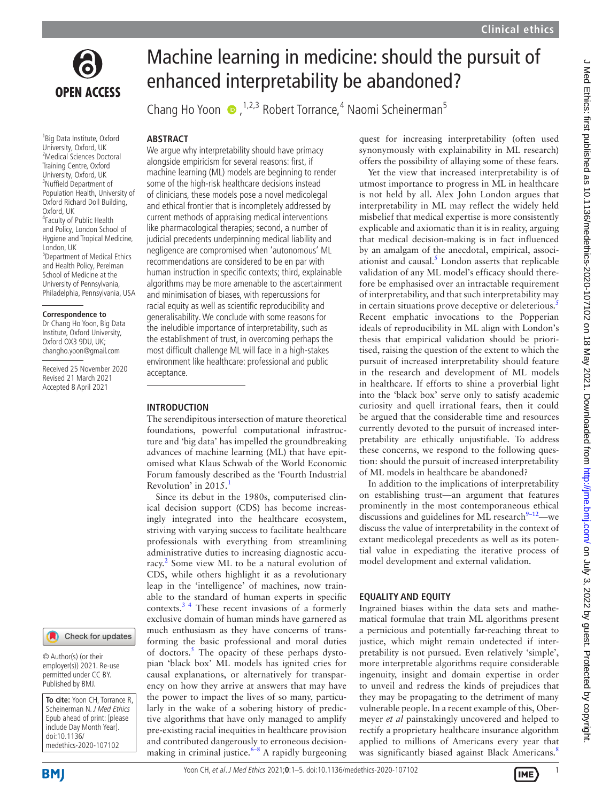

1 Big Data Institute, Oxford University, Oxford, UK 2 Medical Sciences Doctoral Training Centre, Oxford University, Oxford, UK 3 Nuffield Department of Population Health, University of Oxford Richard Doll Building, Oxford, UK 4 Faculty of Public Health and Policy, London School of Hygiene and Tropical Medicine, London, UK 5 Department of Medical Ethics and Health Policy, Perelman School of Medicine at the University of Pennsylvania, Philadelphia, Pennsylvania, USA

#### **Correspondence to**

Dr Chang Ho Yoon, Big Data Institute, Oxford University, Oxford OX3 9DU, UK; changho.yoon@gmail.com

Received 25 November 2020 Revised 21 March 2021 Accepted 8 April 2021

## Check for updates

© Author(s) (or their employer(s)) 2021. Re-use permitted under CC BY. Published by BMJ.

**To cite:** Yoon CH, Torrance R, Scheinerman N. J Med Ethics Epub ahead of print: [please include Day Month Year]. doi:10.1136/ medethics-2020-107102

# Machine learning in medicine: should the pursuit of enhanced interpretability be abandoned?

ChangHo Yoon  $\bullet$ , <sup>1,2,3</sup> Robert Torrance,<sup>4</sup> Naomi Scheinerman<sup>5</sup>

#### **ABSTRACT**

We argue why interpretability should have primacy alongside empiricism for several reasons: first, if machine learning (ML) models are beginning to render some of the high-risk healthcare decisions instead of clinicians, these models pose a novel medicolegal and ethical frontier that is incompletely addressed by current methods of appraising medical interventions like pharmacological therapies; second, a number of judicial precedents underpinning medical liability and negligence are compromised when 'autonomous' ML recommendations are considered to be en par with human instruction in specific contexts; third, explainable algorithms may be more amenable to the ascertainment and minimisation of biases, with repercussions for racial equity as well as scientific reproducibility and generalisability. We conclude with some reasons for the ineludible importance of interpretability, such as the establishment of trust, in overcoming perhaps the most difficult challenge ML will face in a high-stakes environment like healthcare: professional and public acceptance.

#### **INTRODUCTION**

The serendipitous intersection of mature theoretical foundations, powerful computational infrastructure and 'big data' has impelled the groundbreaking advances of machine learning (ML) that have epitomised what Klaus Schwab of the World Economic Forum famously described as the 'Fourth Industrial Revolution' in 20[1](#page-3-0)5.<sup>1</sup>

Since its debut in the 1980s, computerised clinical decision support (CDS) has become increasingly integrated into the healthcare ecosystem, striving with varying success to facilitate healthcare professionals with everything from streamlining administrative duties to increasing diagnostic accu-racy.<sup>[2](#page-3-1)</sup> Some view ML to be a natural evolution of CDS, while others highlight it as a revolutionary leap in the 'intelligence' of machines, now trainable to the standard of human experts in specific contexts.[3 4](#page-3-2) These recent invasions of a formerly exclusive domain of human minds have garnered as much enthusiasm as they have concerns of transforming the basic professional and moral duties of doctors. $\frac{5}{1}$  $\frac{5}{1}$  $\frac{5}{1}$  The opacity of these perhaps dystopian 'black box' ML models has ignited cries for causal explanations, or alternatively for transparency on how they arrive at answers that may have the power to impact the lives of so many, particularly in the wake of a sobering history of predictive algorithms that have only managed to amplify pre-existing racial inequities in healthcare provision and contributed dangerously to erroneous decisionmaking in criminal justice. $6-8$  A rapidly burgeoning

quest for increasing interpretability (often used synonymously with explainability in ML research) offers the possibility of allaying some of these fears.

Yet the view that increased interpretability is of utmost importance to progress in ML in healthcare is not held by all. Alex John London argues that interpretability in ML may reflect the widely held misbelief that medical expertise is more consistently explicable and axiomatic than it is in reality, arguing that medical decision-making is in fact influenced by an amalgam of the anecdotal, empirical, associationist and causal. $<sup>5</sup>$  London asserts that replicable</sup> validation of any ML model's efficacy should therefore be emphasised over an intractable requirement of interpretability, and that such interpretability may in certain situations prove deceptive or deleterious.<sup>[5](#page-3-3)</sup> Recent emphatic invocations to the Popperian ideals of reproducibility in ML align with London's thesis that empirical validation should be prioritised, raising the question of the extent to which the pursuit of increased interpretability should feature in the research and development of ML models in healthcare. If efforts to shine a proverbial light into the 'black box' serve only to satisfy academic curiosity and quell irrational fears, then it could be argued that the considerable time and resources currently devoted to the pursuit of increased interpretability are ethically unjustifiable. To address these concerns, we respond to the following question: should the pursuit of increased interpretability of ML models in healthcare be abandoned?

In addition to the implications of interpretability on establishing trust—an argument that features prominently in the most contemporaneous ethical discussions and guidelines for ML research $9-12$ —we discuss the value of interpretability in the context of extant medicolegal precedents as well as its potential value in expediating the iterative process of model development and external validation.

## **EQUALITY AND EQUITY**

Ingrained biases within the data sets and mathematical formulae that train ML algorithms present a pernicious and potentially far-reaching threat to justice, which might remain undetected if interpretability is not pursued. Even relatively 'simple', more interpretable algorithms require considerable ingenuity, insight and domain expertise in order to unveil and redress the kinds of prejudices that they may be propagating to the detriment of many vulnerable people. In a recent example of this, Obermeyer *et al* painstakingly uncovered and helped to rectify a proprietary healthcare insurance algorithm applied to millions of Americans every year that was significantly biased against Black Americans.<sup>[8](#page-3-6)</sup>

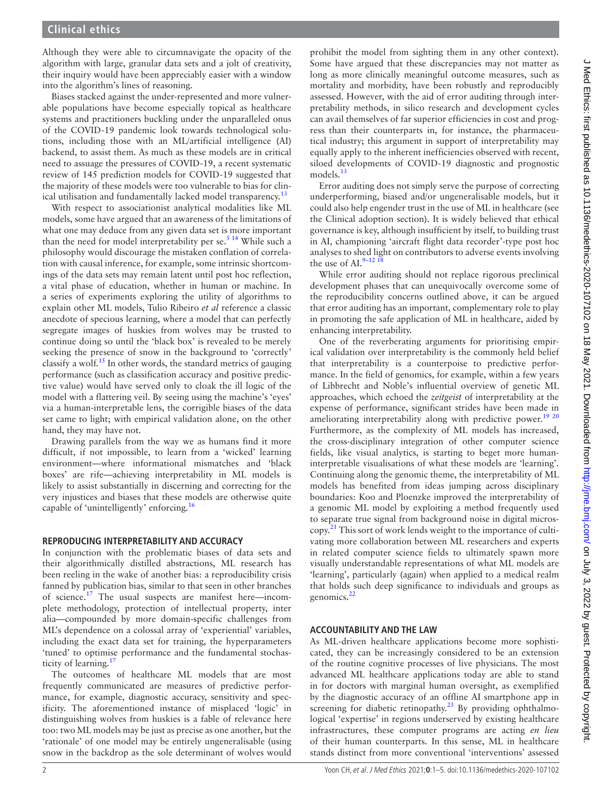Although they were able to circumnavigate the opacity of the algorithm with large, granular data sets and a jolt of creativity, their inquiry would have been appreciably easier with a window into the algorithm's lines of reasoning.

Biases stacked against the under-represented and more vulnerable populations have become especially topical as healthcare systems and practitioners buckling under the unparalleled onus of the COVID-19 pandemic look towards technological solutions, including those with an ML/artificial intelligence (AI) backend, to assist them. As much as these models are in critical need to assuage the pressures of COVID-19, a recent systematic review of 145 prediction models for COVID-19 suggested that the majority of these models were too vulnerable to bias for clin-ical utilisation and fundamentally lacked model transparency.<sup>[13](#page-3-7)</sup>

With respect to associationist analytical modalities like ML models, some have argued that an awareness of the limitations of what one may deduce from any given data set is more important than the need for model interpretability per se.<sup>5 14</sup> While such a philosophy would discourage the mistaken conflation of correlation with causal inference, for example, some intrinsic shortcomings of the data sets may remain latent until post hoc reflection, a vital phase of education, whether in human or machine. In a series of experiments exploring the utility of algorithms to explain other ML models, Tulio Ribeiro *et al* reference a classic anecdote of specious learning, where a model that can perfectly segregate images of huskies from wolves may be trusted to continue doing so until the 'black box' is revealed to be merely seeking the presence of snow in the background to 'correctly' classify a wolf.<sup>[15](#page-3-8)</sup> In other words, the standard metrics of gauging performance (such as classification accuracy and positive predictive value) would have served only to cloak the ill logic of the model with a flattering veil. By seeing using the machine's 'eyes' via a human-interpretable lens, the corrigible biases of the data set came to light; with empirical validation alone, on the other hand, they may have not.

Drawing parallels from the way we as humans find it more difficult, if not impossible, to learn from a 'wicked' learning environment—where informational mismatches and 'black boxes' are rife—achieving interpretability in ML models is likely to assist substantially in discerning and correcting for the very injustices and biases that these models are otherwise quite capable of 'unintelligently' enforcing[.16](#page-3-9)

## **REPRODUCING INTERPRETABILITY AND ACCURACY**

In conjunction with the problematic biases of data sets and their algorithmically distilled abstractions, ML research has been reeling in the wake of another bias: a reproducibility crisis fanned by publication bias, similar to that seen in other branches of science[.17](#page-3-10) The usual suspects are manifest here—incomplete methodology, protection of intellectual property, inter alia—compounded by more domain-specific challenges from ML's dependence on a colossal array of 'experiential' variables, including the exact data set for training, the hyperparameters 'tuned' to optimise performance and the fundamental stochasticity of learning.<sup>1</sup>

The outcomes of healthcare ML models that are most frequently communicated are measures of predictive performance, for example, diagnostic accuracy, sensitivity and specificity. The aforementioned instance of misplaced 'logic' in distinguishing wolves from huskies is a fable of relevance here too: two ML models may be just as precise as one another, but the 'rationale' of one model may be entirely ungeneralisable (using snow in the backdrop as the sole determinant of wolves would

prohibit the model from sighting them in any other context). Some have argued that these discrepancies may not matter as long as more clinically meaningful outcome measures, such as mortality and morbidity, have been robustly and reproducibly assessed. However, with the aid of error auditing through interpretability methods, in silico research and development cycles can avail themselves of far superior efficiencies in cost and progress than their counterparts in, for instance, the pharmaceutical industry; this argument in support of interpretability may equally apply to the inherent inefficiencies observed with recent, siloed developments of COVID-19 diagnostic and prognostic models.<sup>[13](#page-3-7)</sup>

Error auditing does not simply serve the purpose of correcting underperforming, biased and/or ungeneralisable models, but it could also help engender trust in the use of ML in healthcare (see the Clinical adoption section). It is widely believed that ethical governance is key, although insufficient by itself, to building trust in AI, championing 'aircraft flight data recorder'-type post hoc analyses to shed light on contributors to adverse events involving the use of AI. $9-12$  18

While error auditing should not replace rigorous preclinical development phases that can unequivocally overcome some of the reproducibility concerns outlined above, it can be argued that error auditing has an important, complementary role to play in promoting the safe application of ML in healthcare, aided by enhancing interpretability.

One of the reverberating arguments for prioritising empirical validation over interpretability is the commonly held belief that interpretability is a counterpoise to predictive performance. In the field of genomics, for example, within a few years of Libbrecht and Noble's influential overview of genetic ML approaches, which echoed the *zeitgeist* of interpretability at the expense of performance, significant strides have been made in ameliorating interpretability along with predictive power.<sup>19</sup><sup>20</sup> Furthermore, as the complexity of ML models has increased, the cross-disciplinary integration of other computer science fields, like visual analytics, is starting to beget more humaninterpretable visualisations of what these models are 'learning'. Continuing along the genomic theme, the interpretability of ML models has benefited from ideas jumping across disciplinary boundaries: Koo and Ploenzke improved the interpretability of a genomic ML model by exploiting a method frequently used to separate true signal from background noise in digital microscopy.[21](#page-3-12) This sort of work lends weight to the importance of cultivating more collaboration between ML researchers and experts in related computer science fields to ultimately spawn more visually understandable representations of what ML models are 'learning', particularly (again) when applied to a medical realm that holds such deep significance to individuals and groups as genomics. $^{22}$ 

## **ACCOUNTABILITY AND THE LAW**

As ML-driven healthcare applications become more sophisticated, they can be increasingly considered to be an extension of the routine cognitive processes of live physicians. The most advanced ML healthcare applications today are able to stand in for doctors with marginal human oversight, as exemplified by the diagnostic accuracy of an offline AI smartphone app in screening for diabetic retinopathy.<sup>[23](#page-3-14)</sup> By providing ophthalmological 'expertise' in regions underserved by existing healthcare infrastructures, these computer programs are acting *en lieu* of their human counterparts. In this sense, ML in healthcare stands distinct from more conventional 'interventions' assessed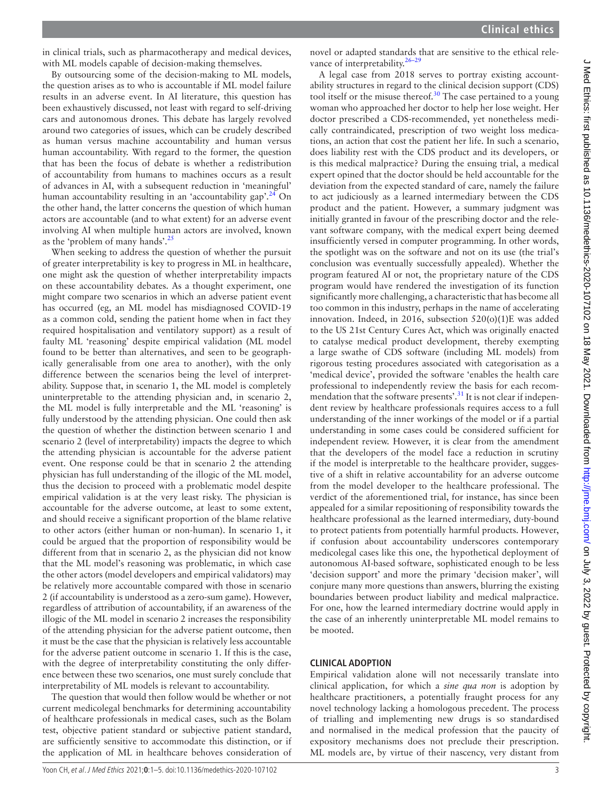in clinical trials, such as pharmacotherapy and medical devices, with ML models capable of decision-making themselves.

By outsourcing some of the decision-making to ML models, the question arises as to who is accountable if ML model failure results in an adverse event. In AI literature, this question has been exhaustively discussed, not least with regard to self-driving cars and autonomous drones. This debate has largely revolved around two categories of issues, which can be crudely described as human versus machine accountability and human versus human accountability. With regard to the former, the question that has been the focus of debate is whether a redistribution of accountability from humans to machines occurs as a result of advances in AI, with a subsequent reduction in 'meaningful' human accountability resulting in an 'accountability gap'.<sup>24</sup> On the other hand, the latter concerns the question of which human actors are accountable (and to what extent) for an adverse event involving AI when multiple human actors are involved, known as the 'problem of many hands'. $25$ 

When seeking to address the question of whether the pursuit of greater interpretability is key to progress in ML in healthcare, one might ask the question of whether interpretability impacts on these accountability debates. As a thought experiment, one might compare two scenarios in which an adverse patient event has occurred (eg, an ML model has misdiagnosed COVID-19 as a common cold, sending the patient home when in fact they required hospitalisation and ventilatory support) as a result of faulty ML 'reasoning' despite empirical validation (ML model found to be better than alternatives, and seen to be geographically generalisable from one area to another), with the only difference between the scenarios being the level of interpretability. Suppose that, in scenario 1, the ML model is completely uninterpretable to the attending physician and, in scenario 2, the ML model is fully interpretable and the ML 'reasoning' is fully understood by the attending physician. One could then ask the question of whether the distinction between scenario 1 and scenario 2 (level of interpretability) impacts the degree to which the attending physician is accountable for the adverse patient event. One response could be that in scenario 2 the attending physician has full understanding of the illogic of the ML model, thus the decision to proceed with a problematic model despite empirical validation is at the very least risky. The physician is accountable for the adverse outcome, at least to some extent, and should receive a significant proportion of the blame relative to other actors (either human or non-human). In scenario 1, it could be argued that the proportion of responsibility would be different from that in scenario 2, as the physician did not know that the ML model's reasoning was problematic, in which case the other actors (model developers and empirical validators) may be relatively more accountable compared with those in scenario 2 (if accountability is understood as a zero-sum game). However, regardless of attribution of accountability, if an awareness of the illogic of the ML model in scenario 2 increases the responsibility of the attending physician for the adverse patient outcome, then it must be the case that the physician is relatively less accountable for the adverse patient outcome in scenario 1. If this is the case, with the degree of interpretability constituting the only difference between these two scenarios, one must surely conclude that interpretability of ML models is relevant to accountability.

The question that would then follow would be whether or not current medicolegal benchmarks for determining accountability of healthcare professionals in medical cases, such as the Bolam test, objective patient standard or subjective patient standard, are sufficiently sensitive to accommodate this distinction, or if the application of ML in healthcare behoves consideration of

novel or adapted standards that are sensitive to the ethical relevance of interpretability.<sup>26-29</sup>

A legal case from 2018 serves to portray existing accountability structures in regard to the clinical decision support (CDS) tool itself or the misuse thereof.<sup>30</sup> The case pertained to a young woman who approached her doctor to help her lose weight. Her doctor prescribed a CDS-recommended, yet nonetheless medically contraindicated, prescription of two weight loss medications, an action that cost the patient her life. In such a scenario, does liability rest with the CDS product and its developers, or is this medical malpractice? During the ensuing trial, a medical expert opined that the doctor should be held accountable for the deviation from the expected standard of care, namely the failure to act judiciously as a learned intermediary between the CDS product and the patient. However, a summary judgment was initially granted in favour of the prescribing doctor and the relevant software company, with the medical expert being deemed insufficiently versed in computer programming. In other words, the spotlight was on the software and not on its use (the trial's conclusion was eventually successfully appealed). Whether the program featured AI or not, the proprietary nature of the CDS program would have rendered the investigation of its function significantly more challenging, a characteristic that has become all too common in this industry, perhaps in the name of accelerating innovation. Indeed, in 2016, subsection 520(o)(1)E was added to the US 21st Century Cures Act, which was originally enacted to catalyse medical product development, thereby exempting a large swathe of CDS software (including ML models) from rigorous testing procedures associated with categorisation as a 'medical device', provided the software 'enables the health care professional to independently review the basis for each recom-mendation that the software presents'.<sup>[31](#page-4-2)</sup> It is not clear if independent review by healthcare professionals requires access to a full understanding of the inner workings of the model or if a partial understanding in some cases could be considered sufficient for independent review. However, it is clear from the amendment that the developers of the model face a reduction in scrutiny if the model is interpretable to the healthcare provider, suggestive of a shift in relative accountability for an adverse outcome from the model developer to the healthcare professional. The verdict of the aforementioned trial, for instance, has since been appealed for a similar repositioning of responsibility towards the healthcare professional as the learned intermediary, duty-bound to protect patients from potentially harmful products. However, if confusion about accountability underscores contemporary medicolegal cases like this one, the hypothetical deployment of autonomous AI-based software, sophisticated enough to be less 'decision support' and more the primary 'decision maker', will conjure many more questions than answers, blurring the existing boundaries between product liability and medical malpractice. For one, how the learned intermediary doctrine would apply in the case of an inherently uninterpretable ML model remains to be mooted.

## **CLINICAL ADOPTION**

Empirical validation alone will not necessarily translate into clinical application, for which a *sine qua non* is adoption by healthcare practitioners, a potentially fraught process for any novel technology lacking a homologous precedent. The process of trialling and implementing new drugs is so standardised and normalised in the medical profession that the paucity of expository mechanisms does not preclude their prescription. ML models are, by virtue of their nascency, very distant from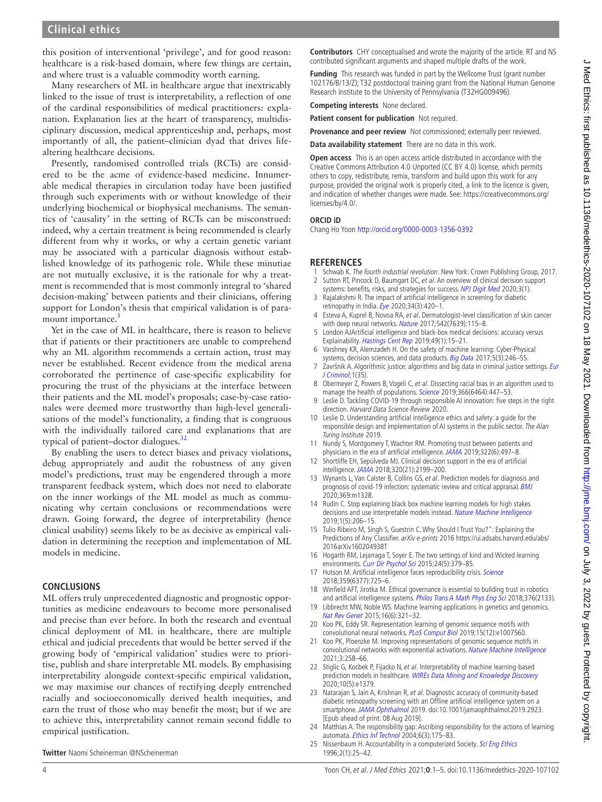## **Clinical ethics**

this position of interventional 'privilege', and for good reason: healthcare is a risk-based domain, where few things are certain, and where trust is a valuable commodity worth earning.

Many researchers of ML in healthcare argue that inextricably linked to the issue of trust is interpretability, a reflection of one of the cardinal responsibilities of medical practitioners: explanation. Explanation lies at the heart of transparency, multidisciplinary discussion, medical apprenticeship and, perhaps, most importantly of all, the patient–clinician dyad that drives lifealtering healthcare decisions.

Presently, randomised controlled trials (RCTs) are considered to be the acme of evidence-based medicine. Innumerable medical therapies in circulation today have been justified through such experiments with or without knowledge of their underlying biochemical or biophysical mechanisms. The semantics of 'causality' in the setting of RCTs can be misconstrued: indeed, why a certain treatment is being recommended is clearly different from why it works, or why a certain genetic variant may be associated with a particular diagnosis without established knowledge of its pathogenic role. While these minutiae are not mutually exclusive, it is the rationale for why a treatment is recommended that is most commonly integral to 'shared decision-making' between patients and their clinicians, offering support for London's thesis that empirical validation is of paramount importance.<sup>5</sup>

Yet in the case of ML in healthcare, there is reason to believe that if patients or their practitioners are unable to comprehend why an ML algorithm recommends a certain action, trust may never be established. Recent evidence from the medical arena corroborated the pertinence of case-specific explicability for procuring the trust of the physicians at the interface between their patients and the ML model's proposals; case-by-case rationales were deemed more trustworthy than high-level generalisations of the model's functionality, a finding that is congruous with the individually tailored care and explanations that are typical of patient–doctor dialogues. $32$ 

By enabling the users to detect biases and privacy violations, debug appropriately and audit the robustness of any given model's predictions, trust may be engendered through a more transparent feedback system, which does not need to elaborate on the inner workings of the ML model as much as communicating why certain conclusions or recommendations were drawn. Going forward, the degree of interpretability (hence clinical usability) seems likely to be as decisive as empirical validation in determining the reception and implementation of ML models in medicine.

## **CONCLUSIONS**

ML offers truly unprecedented diagnostic and prognostic opportunities as medicine endeavours to become more personalised and precise than ever before. In both the research and eventual clinical deployment of ML in healthcare, there are multiple ethical and judicial precedents that would be better served if the growing body of 'empirical validation' studies were to prioritise, publish and share interpretable ML models. By emphasising interpretability alongside context-specific empirical validation, we may maximise our chances of rectifying deeply entrenched racially and socioeconomically derived health inequities, and earn the trust of those who may benefit the most; but if we are to achieve this, interpretability cannot remain second fiddle to empirical justification.

**Twitter** Naomi Scheinerman [@NScheinerman](https://twitter.com/NScheinerman)

**Contributors** CHY conceptualised and wrote the majority of the article. RT and NS contributed significant arguments and shaped multiple drafts of the work.

**Funding** This research was funded in part by the Wellcome Trust (grant number 102176/B/13/Z); T32 postdoctoral training grant from the National Human Genome Research Institute to the University of Pennsylvania (T32HG009496).

**Competing interests** None declared.

**Patient consent for publication** Not required.

**Provenance and peer review** Not commissioned: externally peer reviewed.

**Data availability statement** There are no data in this work.

**Open access** This is an open access article distributed in accordance with the Creative Commons Attribution 4.0 Unported (CC BY 4.0) license, which permits others to copy, redistribute, remix, transform and build upon this work for any purpose, provided the original work is properly cited, a link to the licence is given, and indication of whether changes were made. See: [https://creativecommons.org/](https://creativecommons.org/licenses/by/4.0/) [licenses/by/4.0/.](https://creativecommons.org/licenses/by/4.0/)

#### **ORCID iD**

Chang Ho Yoon <http://orcid.org/0000-0003-1356-0392>

## **REFERENCES**

- <span id="page-3-1"></span><span id="page-3-0"></span>Schwab K. The fourth industrial revolution. New York: Crown Publishing Group, 2017. Sutton RT, Pincock D, Baumgart DC, et al. An overview of clinical decision support
- <span id="page-3-2"></span>systems: benefits, risks, and strategies for success. [NPJ Digit Med](http://dx.doi.org/10.1038/s41746-020-0221-y) 2020;3(1). 3 Rajalakshmi R. The impact of artificial intelligence in screening for diabetic
- retinopathy in India.  $Eye 2020;34(3):420-1$  $Eye 2020;34(3):420-1$ . 4 Esteva A, Kuprel B, Novoa RA, et al. Dermatologist-level classification of skin cancer with deep neural networks. [Nature](http://dx.doi.org/10.1038/nature21056) 2017;542(7639):115-8.
- <span id="page-3-3"></span>5 London AJArtificial intelligence and black-box medical decisions: accuracy versus Explainability. [Hastings Cent Rep](http://dx.doi.org/10.1002/hast.973) 2019;49(1):15–21.
- <span id="page-3-4"></span>6 Varshney KR, Alemzadeh H. On the safety of machine learning: Cyber-Physical systems, decision sciences, and data products. [Big Data](http://dx.doi.org/10.1089/big.2016.0051) 2017;5(3):246-55.
- 7 Završnik A. Algorithmic justice: algorithms and big data in criminal justice settings. [Eur](http://dx.doi.org/10.1177/1477370819876762) [J Criminol](http://dx.doi.org/10.1177/1477370819876762): 1(35).
- <span id="page-3-6"></span>8 Obermeyer Z, Powers B, Vogeli C, et al. Dissecting racial bias in an algorithm used to manage the health of populations. [Science](http://dx.doi.org/10.1126/science.aax2342) 2019;366(6464):447-53.
- <span id="page-3-5"></span>Leslie D. Tackling COVID-19 through responsible AI innovation: five steps in the right direction. Harvard Data Science Review 2020.
- 10 Leslie D. Understanding artificial intelligence ethics and safety: a guide for the responsible design and implementation of AI systems in the public sector. The Alan Turing Institute 2019.
- 11 Nundy S, Montgomery T, Wachter RM. Promoting trust between patients and physicians in the era of artificial intelligence. [JAMA](http://dx.doi.org/10.1001/jama.2018.20563) 2019;322(6):497–8.
- 12 Shortliffe EH, Sepúlveda MJ. Clinical decision support in the era of artificial intelligence. [JAMA](http://dx.doi.org/10.1001/jama.2018.17163) 2018;320(21):2199–200.
- <span id="page-3-7"></span>13 Wynants L, Van Calster B, Collins GS, et al. Prediction models for diagnosis and prognosis of covid-19 infection: systematic review and critical appraisal. [BMJ](http://dx.doi.org/10.1136/bmj.m1328) 2020;369:m1328.
- 14 Rudin C. Stop explaining black box machine learning models for high stakes decisions and use interpretable models instead. [Nature Machine Intelligence](http://dx.doi.org/10.1038/s42256-019-0048-x) 2019;1(5):206–15.
- <span id="page-3-8"></span>15 Tulio Ribeiro M, Singh S, Guestrin C. Why Should I Trust You?": Explaining the Predictions of Any Classifier. arXiv e-prints 2016 [https://ui.adsabs.harvard.edu/abs/](https://ui.adsabs.harvard.edu/abs/2016arXiv160204938T) [2016arXiv160204938T](https://ui.adsabs.harvard.edu/abs/2016arXiv160204938T)
- <span id="page-3-9"></span>16 Hogarth RM, Lejarraga T, Soyer E. The two settings of kind and Wicked learning environments. [Curr Dir Psychol Sci](http://dx.doi.org/10.1177/0963721415591878) 2015;24(5):379-85.
- <span id="page-3-10"></span>17 Hutson M. Artificial intelligence faces reproducibility crisis. [Science](http://dx.doi.org/10.1126/science.359.6377.725) 2018;359(6377):725–6.
- 18 Winfield AFT, Jirotka M. Ethical governance is essential to building trust in robotics and artificial intelligence systems. [Philos Trans A Math Phys Eng Sci](http://dx.doi.org/10.1098/rsta.2018.0085) 2018;376(2133).
- <span id="page-3-11"></span>19 Libbrecht MW, Noble WS. Machine learning applications in genetics and genomics. [Nat Rev Genet](http://dx.doi.org/10.1038/nrg3920) 2015;16(6):321–32.
- 20 Koo PK, Eddy SR. Representation learning of genomic sequence motifs with convolutional neural networks. [PLoS Comput Biol](http://dx.doi.org/10.1371/journal.pcbi.1007560) 2019;15(12):e1007560.
- <span id="page-3-12"></span>21 Koo PK, Ploenzke M. Improving representations of genomic sequence motifs in convolutional networks with exponential activations. [Nature Machine Intelligence](http://dx.doi.org/10.1038/s42256-020-00291-x) 2021;3:258–66.
- <span id="page-3-13"></span>22 Stiglic G, Kocbek P, Fijacko N, et al. Interpretability of machine learning-based prediction models in healthcare. [WIREs Data Mining and Knowledge Discovery](http://dx.doi.org/10.1002/widm.1379) 2020;10(5):e1379.
- <span id="page-3-14"></span>23 Natarajan S, Jain A, Krishnan R, et al. Diagnostic accuracy of community-based diabetic retinopathy screening with an Offline artificial intelligence system on a smartphone. [JAMA Ophthalmol](http://dx.doi.org/10.1001/jamaophthalmol.2019.2923) 2019. doi:10.1001/jamaophthalmol.2019.2923. [Epub ahead of print: 08 Aug 2019].
- <span id="page-3-15"></span>24 Matthias A. The responsibility gap: Ascribing responsibility for the actions of learning automata. [Ethics Inf Technol](http://dx.doi.org/10.1007/s10676-004-3422-1) 2004;6(3):175–83.
- <span id="page-3-16"></span>25 Nissenbaum H. Accountability in a computerized Society. [Sci Eng Ethics](http://dx.doi.org/10.1007/BF02639315) 1996;2(1):25–42.